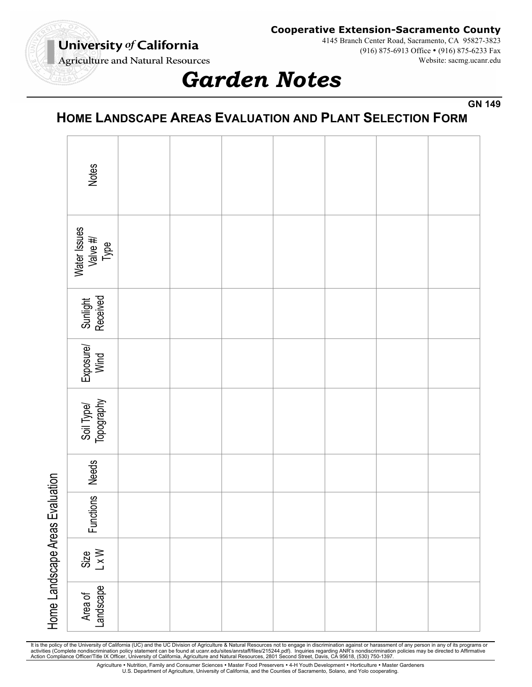**Cooperative Extension-Sacramento County**



4145 Branch Center Road, Sacramento, CA 95827-3823 (916) 875-6913 Office • (916) 875-6233 Fax Website: sacmg.ucanr.edu

## **Agriculture and Natural Resources** *Garden Notes*

**GN 149**

## **HOME LANDSCAPE AREAS EVALUATION AND PLANT SELECTION FORM**

|                      | <b>Notes</b>                     |  |  |  |  |
|----------------------|----------------------------------|--|--|--|--|
|                      | Water Issues<br>Valve #/<br>Type |  |  |  |  |
|                      | Sunlight<br>Received             |  |  |  |  |
|                      | Exposure/<br>Wind                |  |  |  |  |
|                      | Soil Type/<br>Topography         |  |  |  |  |
| Evaluation           | <b>Needs</b>                     |  |  |  |  |
|                      | <b>Functions</b>                 |  |  |  |  |
|                      | Size<br>L x W                    |  |  |  |  |
| Home Landscape Areas | Area of<br>Landscape             |  |  |  |  |

It is the policy of the University of California (UC) and the UC Division of Agriculture & Natural Resources not to engage in discrimination against or harassment of any person in any of its programs or<br>activities (Complet Action Compliance Officer/Title IX Officer, University of California, Agriculture and Natural Resources, 2801 Second Street, Davis, CA 95618, (530) 750-1397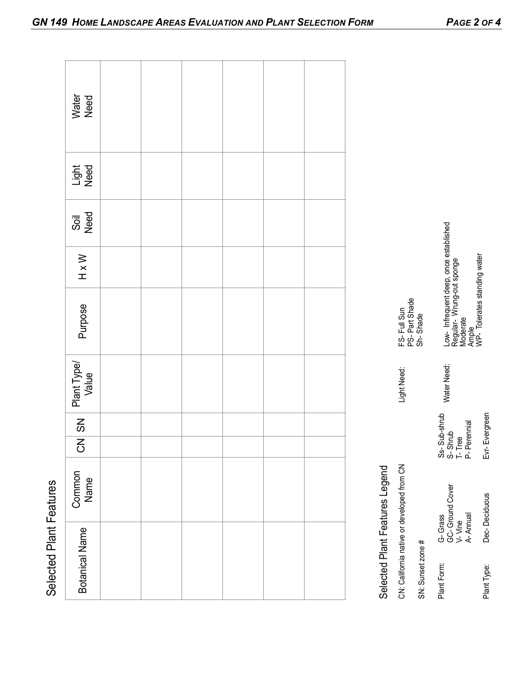| Š                         |
|---------------------------|
| $\check{\mathbf{c}}$<br>ı |
| ť                         |
|                           |
|                           |
|                           |

| Selected Plant Features |                                                      |                                                  |                      |                                                                                                                          |       |              |               |               |
|-------------------------|------------------------------------------------------|--------------------------------------------------|----------------------|--------------------------------------------------------------------------------------------------------------------------|-------|--------------|---------------|---------------|
| Botanical Name          | Common<br>Name                                       | CN SN                                            | Plant Type/<br>Value | Purpose                                                                                                                  | H x W | Need<br>Soil | Light<br>Need | Water<br>Need |
|                         |                                                      |                                                  |                      |                                                                                                                          |       |              |               |               |
|                         |                                                      |                                                  |                      |                                                                                                                          |       |              |               |               |
|                         |                                                      |                                                  |                      |                                                                                                                          |       |              |               |               |
|                         |                                                      |                                                  |                      |                                                                                                                          |       |              |               |               |
|                         |                                                      |                                                  |                      |                                                                                                                          |       |              |               |               |
|                         |                                                      |                                                  |                      |                                                                                                                          |       |              |               |               |
|                         | Selected Plant Features Legend                       |                                                  |                      |                                                                                                                          |       |              |               |               |
|                         | CN: California native or developed from CN           |                                                  | Light Need:          | FS-Full Sun<br>PS-Part Shade<br>Sh-Shade                                                                                 |       |              |               |               |
| SN: Sunset zone #       |                                                      |                                                  |                      |                                                                                                                          |       |              |               |               |
| Plant Form:             | G- Grass<br>GC- Ground Cover<br>V- Vine<br>A- Annual | Ss-Sub-shrub<br>S-Shrub<br>T-Tree<br>P-Perennial | Water Need:          | Low- Infrequent deep, once established<br>Regular- Wrung-out sponge<br>Moderate<br>Ample<br>WP- Tolerates standing water |       |              |               |               |
| Plant Type:             | Dec-Deciduous                                        | Evr-Evergreen                                    |                      |                                                                                                                          |       |              |               |               |

| てくくく<br>١ |
|-----------|
|           |
|           |
|           |
|           |
| くくこもく     |
|           |
|           |
|           |
|           |
|           |
|           |
|           |
|           |
|           |
| ׆<br>?    |
|           |
|           |
|           |
|           |
|           |
| ļ         |
|           |
|           |
|           |
|           |

|                      | NJ IIDI DINANDAD D DATUI BIIDIIDIU   |                                     | DINET TIME  | ro- rui oui<br>PS- Part Shade                                        |
|----------------------|--------------------------------------|-------------------------------------|-------------|----------------------------------------------------------------------|
| : Sunset zone #      |                                      |                                     |             | Sh-Shade                                                             |
| nt Form:             | GC-Ground Cover<br>G-Grass<br>V-Vine | Ss-Sub-shrub<br>S-Shrub<br>- Tree   | Water Need: | Low-Infrequent deep, once e<br>Regular- Wrung-out sponge<br>Moderate |
| nt Tyne <sup>.</sup> | Dec-Deciduous<br>A-Annual            | Fyr-Fvergreen<br><b>P-Perennial</b> |             | WP- Tolerates standing water<br>Ample                                |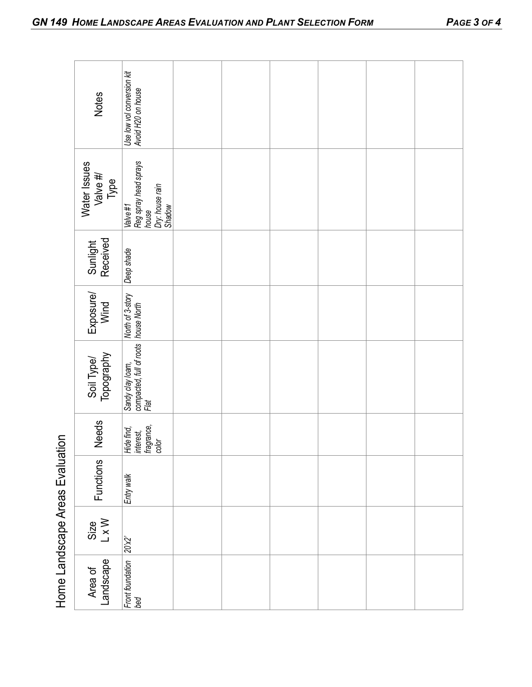| <b>Notes</b>                     | Use low vol conversion kit<br>Avoid H20 on house                                           |  |  |  |
|----------------------------------|--------------------------------------------------------------------------------------------|--|--|--|
| Water Issues<br>Valve #/<br>Type | Valve #1<br>Reg spray head sprays<br>house<br>Dry: house rain<br>Shadow                    |  |  |  |
| Sunlight<br>Received             | Deep shade                                                                                 |  |  |  |
| Exposure/<br>Wind                |                                                                                            |  |  |  |
| Topography<br>Soil Type/         | Sandy clay loam, <b>North of 3-story</b><br>compacted, full of roots   house North<br>Flat |  |  |  |
| <b>Needs</b>                     | interest,<br>fragrance,<br>color<br>Hide find,                                             |  |  |  |
| <b>Functions</b>                 | Entry walk                                                                                 |  |  |  |
| Size<br>L x W                    |                                                                                            |  |  |  |
| Area of<br>Landscape             | Front foundation 20'x2'<br>bed                                                             |  |  |  |

Home Landscape Areas Evaluation Home Landscape Areas Evaluation